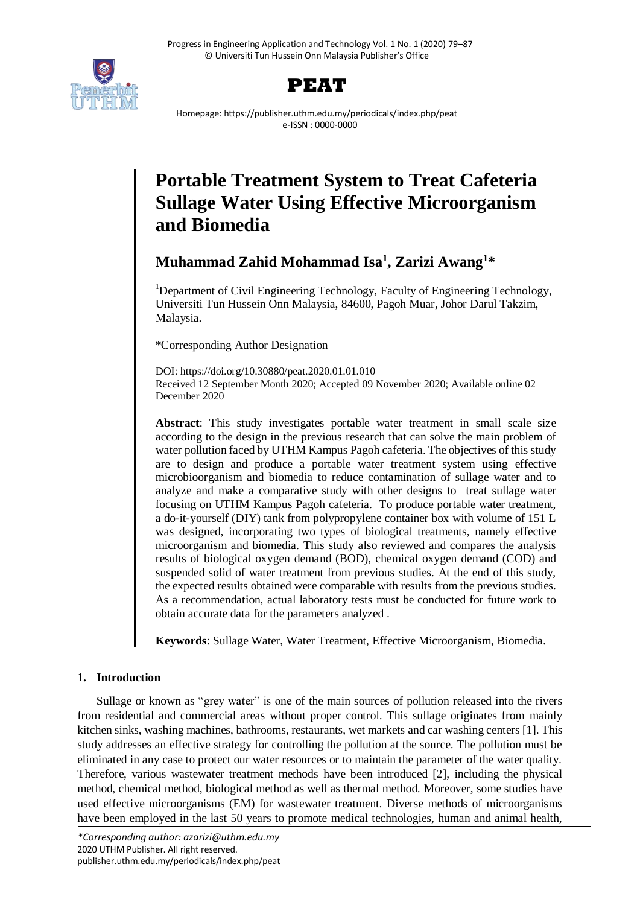



Homepage: https://publisher.uthm.edu.my/periodicals/index.php/peat e-ISSN : 0000-0000

# **Portable Treatment System to Treat Cafeteria Sullage Water Using Effective Microorganism and Biomedia**

**Muhammad Zahid Mohammad Isa<sup>1</sup> , Zarizi Awang<sup>1</sup>\***

<sup>1</sup>Department of Civil Engineering Technology, Faculty of Engineering Technology, Universiti Tun Hussein Onn Malaysia, 84600, Pagoh Muar, Johor Darul Takzim, Malaysia.

\*Corresponding Author Designation

DOI: https://doi.org/10.30880/peat.2020.01.01.010 Received 12 September Month 2020; Accepted 09 November 2020; Available online 02 December 2020

**Abstract**: This study investigates portable water treatment in small scale size according to the design in the previous research that can solve the main problem of water pollution faced by UTHM Kampus Pagoh cafeteria. The objectives of this study are to design and produce a portable water treatment system using effective microbioorganism and biomedia to reduce contamination of sullage water and to analyze and make a comparative study with other designs to treat sullage water focusing on UTHM Kampus Pagoh cafeteria. To produce portable water treatment, a do-it-yourself (DIY) tank from polypropylene container box with volume of 151 L was designed, incorporating two types of biological treatments, namely effective microorganism and biomedia. This study also reviewed and compares the analysis results of biological oxygen demand (BOD), chemical oxygen demand (COD) and suspended solid of water treatment from previous studies. At the end of this study, the expected results obtained were comparable with results from the previous studies. As a recommendation, actual laboratory tests must be conducted for future work to obtain accurate data for the parameters analyzed .

**Keywords**: Sullage Water, Water Treatment, Effective Microorganism, Biomedia.

# **1. Introduction**

Sullage or known as "grey water" is one of the main sources of pollution released into the rivers from residential and commercial areas without proper control. This sullage originates from mainly kitchen sinks, washing machines, bathrooms, restaurants, wet markets and car washing centers [1]. This study addresses an effective strategy for controlling the pollution at the source. The pollution must be eliminated in any case to protect our water resources or to maintain the parameter of the water quality. Therefore, various wastewater treatment methods have been introduced [2], including the physical method, chemical method, biological method as well as thermal method. Moreover, some studies have used effective microorganisms (EM) for wastewater treatment. Diverse methods of microorganisms have been employed in the last 50 years to promote medical technologies, human and animal health,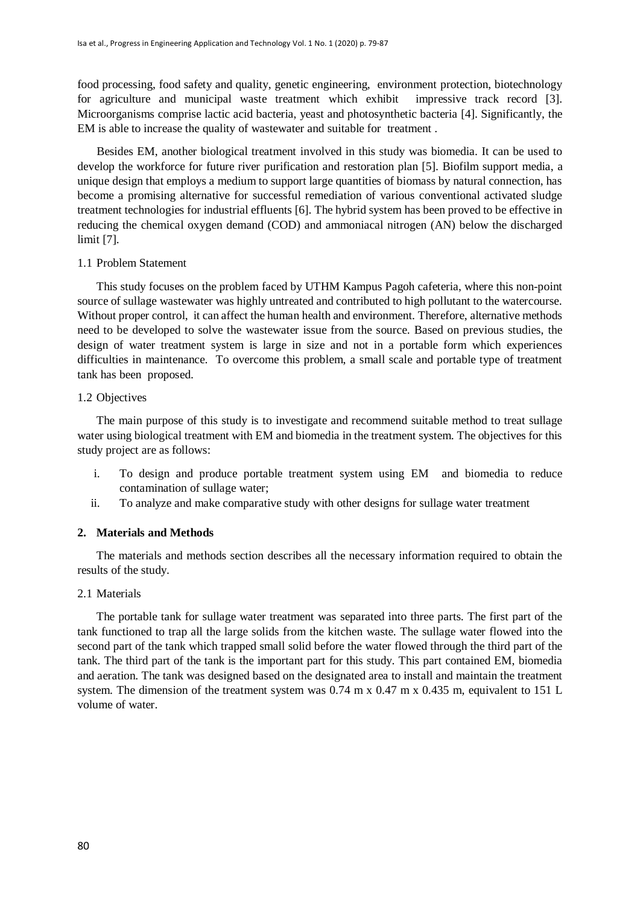food processing, food safety and quality, genetic engineering, environment protection, biotechnology for agriculture and municipal waste treatment which exhibit impressive track record [3]. Microorganisms comprise lactic acid bacteria, yeast and photosynthetic bacteria [4]. Significantly, the EM is able to increase the quality of wastewater and suitable for treatment .

Besides EM, another biological treatment involved in this study was biomedia. It can be used to develop the workforce for future river purification and restoration plan [5]. Biofilm support media, a unique design that employs a medium to support large quantities of biomass by natural connection, has become a promising alternative for successful remediation of various conventional activated sludge treatment technologies for industrial effluents [6]. The hybrid system has been proved to be effective in reducing the chemical oxygen demand (COD) and ammoniacal nitrogen (AN) below the discharged limit [7].

## 1.1 Problem Statement

This study focuses on the problem faced by UTHM Kampus Pagoh cafeteria, where this non-point source of sullage wastewater was highly untreated and contributed to high pollutant to the watercourse. Without proper control, it can affect the human health and environment. Therefore, alternative methods need to be developed to solve the wastewater issue from the source. Based on previous studies, the design of water treatment system is large in size and not in a portable form which experiences difficulties in maintenance. To overcome this problem, a small scale and portable type of treatment tank has been proposed.

## 1.2 Objectives

The main purpose of this study is to investigate and recommend suitable method to treat sullage water using biological treatment with EM and biomedia in the treatment system. The objectives for this study project are as follows:

- i. To design and produce portable treatment system using EM and biomedia to reduce contamination of sullage water;
- ii. To analyze and make comparative study with other designs for sullage water treatment

# **2. Materials and Methods**

The materials and methods section describes all the necessary information required to obtain the results of the study.

#### 2.1 Materials

The portable tank for sullage water treatment was separated into three parts. The first part of the tank functioned to trap all the large solids from the kitchen waste. The sullage water flowed into the second part of the tank which trapped small solid before the water flowed through the third part of the tank. The third part of the tank is the important part for this study. This part contained EM, biomedia and aeration. The tank was designed based on the designated area to install and maintain the treatment system. The dimension of the treatment system was 0.74 m x 0.47 m x 0.435 m, equivalent to 151 L volume of water.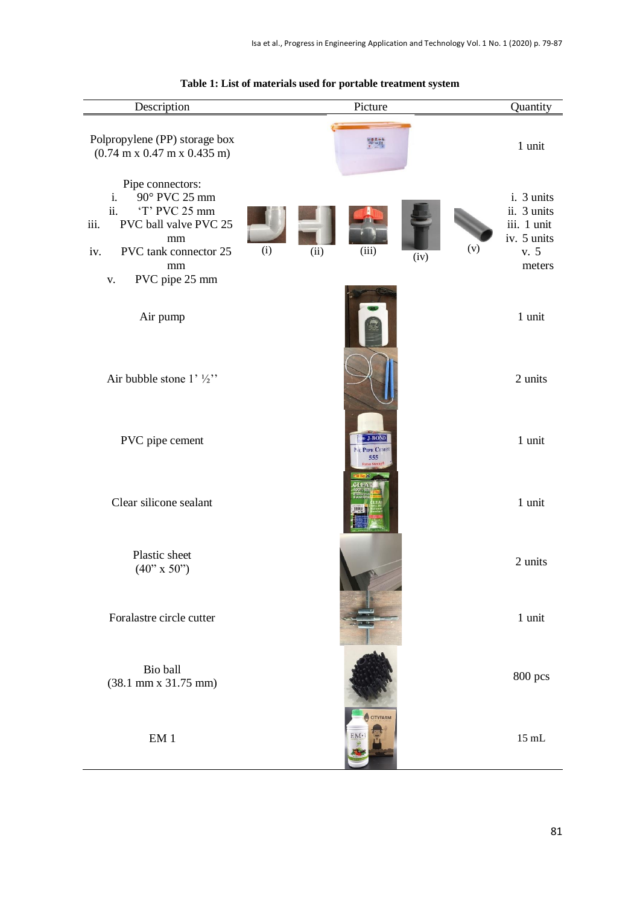| Description                                                                                                                                                                      | Picture<br>Quantity                                   |                                                                                  |  |
|----------------------------------------------------------------------------------------------------------------------------------------------------------------------------------|-------------------------------------------------------|----------------------------------------------------------------------------------|--|
| Polpropylene (PP) storage box<br>$(0.74 \text{ m x } 0.47 \text{ m x } 0.435 \text{ m})$                                                                                         |                                                       | 1 unit                                                                           |  |
| Pipe connectors:<br>90° PVC 25 mm<br>i.<br>ii.<br>'T' PVC 25 mm<br>PVC ball valve PVC 25<br>iii.<br>mm<br>iv.<br>PVC tank connector 25<br>mm<br>PVC pipe 25 mm<br>$\mathbf{V}$ . | (i)<br>(ii)<br>(iii)<br>(iv)                          | i. 3 units<br>ii. 3 units<br>iii. 1 unit<br>iv. 5 units<br>(v)<br>v. 5<br>meters |  |
| Air pump                                                                                                                                                                         |                                                       | 1 unit                                                                           |  |
| Air bubble stone $1'$ $\frac{1}{2}$ "                                                                                                                                            |                                                       | 2 units                                                                          |  |
| PVC pipe cement                                                                                                                                                                  | » J-BOND<br>PVC PIPE CEMEN<br>555<br><b>Extra Str</b> | 1 unit                                                                           |  |
| Clear silicone sealant                                                                                                                                                           |                                                       | 1 unit                                                                           |  |
| Plastic sheet<br>$(40" \times 50")$                                                                                                                                              |                                                       | 2 units                                                                          |  |
| Foralastre circle cutter                                                                                                                                                         |                                                       | 1 unit                                                                           |  |
| Bio ball<br>$(38.1 \text{ mm} \times 31.75 \text{ mm})$                                                                                                                          |                                                       | 800 pcs                                                                          |  |
| $\mathrm{EM}$ 1                                                                                                                                                                  | <b>CITYFARM</b><br><b>EM</b>                          | $15\;\mathrm{mL}$                                                                |  |

# **Table 1: List of materials used for portable treatment system**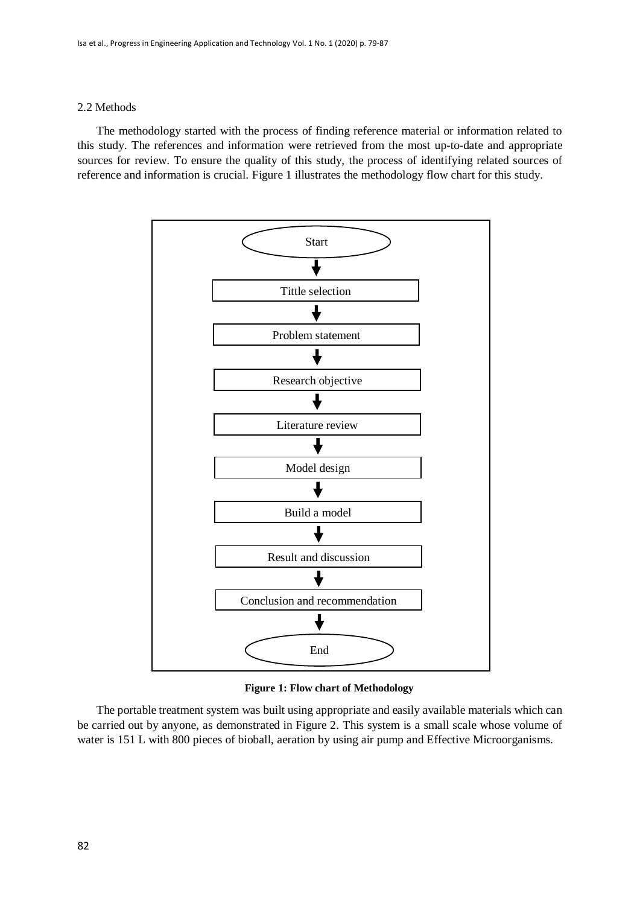#### 2.2 Methods

The methodology started with the process of finding reference material or information related to this study. The references and information were retrieved from the most up-to-date and appropriate sources for review. To ensure the quality of this study, the process of identifying related sources of reference and information is crucial. Figure 1 illustrates the methodology flow chart for this study.



**Figure 1: Flow chart of Methodology**

The portable treatment system was built using appropriate and easily available materials which can be carried out by anyone, as demonstrated in Figure 2. This system is a small scale whose volume of water is 151 L with 800 pieces of bioball, aeration by using air pump and Effective Microorganisms.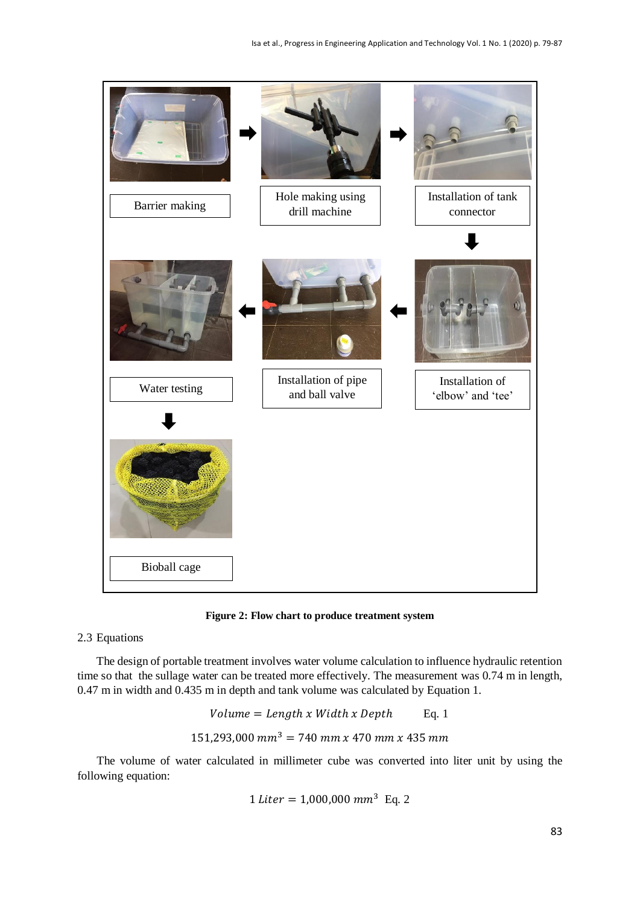

**Figure 2: Flow chart to produce treatment system**

# 2.3 Equations

The design of portable treatment involves water volume calculation to influence hydraulic retention time so that the sullage water can be treated more effectively. The measurement was 0.74 m in length, 0.47 m in width and 0.435 m in depth and tank volume was calculated by Equation 1.

 = ℎ ℎ ℎ Eq. 1 151,293,000 <sup>3</sup> = 740 470 435

The volume of water calculated in millimeter cube was converted into liter unit by using the following equation:

$$
1
$$
 *Liter* = 1,000,000  $mm^3$  Eq. 2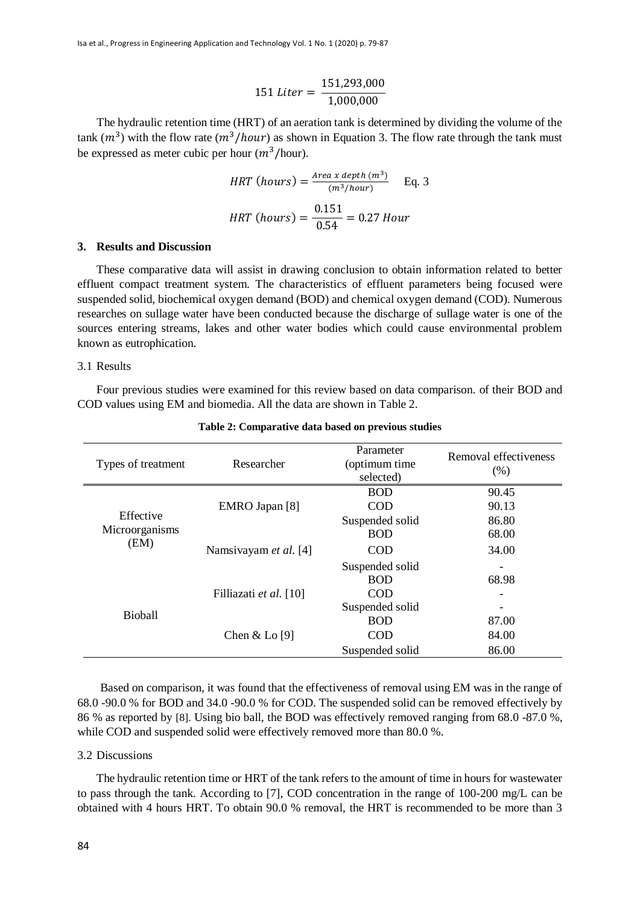$$
151 \text{ Liter} = \frac{151,293,000}{1,000,000}
$$

The hydraulic retention time (HRT) of an aeration tank is determined by dividing the volume of the tank  $(m^3)$  with the flow rate  $(m^3/hour)$  as shown in Equation 3. The flow rate through the tank must be expressed as meter cubic per hour  $(m^3/hour)$ .

$$
HRT \text{ (hours)} = \frac{\text{Area } x \text{ depth } (m^3)}{(m^3/h \text{ our})} \qquad \text{Eq. 3}
$$
\n
$$
HRT \text{ (hours)} = \frac{0.151}{0.54} = 0.27 \text{ hour}
$$

#### **3. Results and Discussion**

These comparative data will assist in drawing conclusion to obtain information related to better effluent compact treatment system. The characteristics of effluent parameters being focused were suspended solid, biochemical oxygen demand (BOD) and chemical oxygen demand (COD). Numerous researches on sullage water have been conducted because the discharge of sullage water is one of the sources entering streams, lakes and other water bodies which could cause environmental problem known as eutrophication.

#### 3.1 Results

Four previous studies were examined for this review based on data comparison. of their BOD and COD values using EM and biomedia. All the data are shown in Table 2.

| Types of treatment                  | Researcher             | Parameter<br>(optimum time<br>selected) | Removal effectiveness<br>(% ) |
|-------------------------------------|------------------------|-----------------------------------------|-------------------------------|
| Effective<br>Microorganisms<br>(EM) |                        | <b>BOD</b>                              | 90.45                         |
|                                     | EMRO Japan [8]         | <b>COD</b>                              | 90.13                         |
|                                     |                        | Suspended solid                         | 86.80                         |
|                                     | Namsiyayam et al. [4]  | <b>BOD</b>                              | 68.00                         |
|                                     |                        | <b>COD</b>                              | 34.00                         |
|                                     |                        | Suspended solid                         |                               |
| Bioball                             |                        | <b>BOD</b>                              | 68.98                         |
|                                     | Filliazati et al. [10] | <b>COD</b>                              |                               |
|                                     |                        | Suspended solid                         |                               |
|                                     | Chen $&$ Lo [9]        | <b>BOD</b>                              | 87.00                         |
|                                     |                        | <b>COD</b>                              | 84.00                         |
|                                     |                        | Suspended solid                         | 86.00                         |

#### **Table 2: Comparative data based on previous studies**

Based on comparison, it was found that the effectiveness of removal using EM was in the range of 68.0 -90.0 % for BOD and 34.0 -90.0 % for COD. The suspended solid can be removed effectively by 86 % as reported by [8]. Using bio ball, the BOD was effectively removed ranging from 68.0 -87.0 %, while COD and suspended solid were effectively removed more than 80.0 %.

#### 3.2 Discussions

The hydraulic retention time or HRT of the tank refers to the amount of time in hours for wastewater to pass through the tank. According to [7], COD concentration in the range of 100-200 mg/L can be obtained with 4 hours HRT. To obtain 90.0 % removal, the HRT is recommended to be more than 3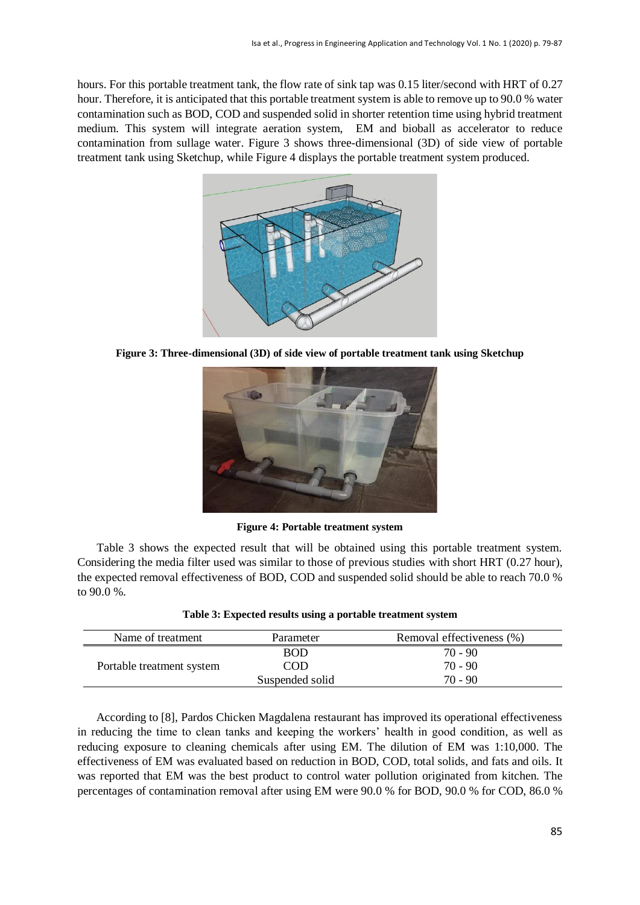hours. For this portable treatment tank, the flow rate of sink tap was 0.15 liter/second with HRT of 0.27 hour. Therefore, it is anticipated that this portable treatment system is able to remove up to 90.0 % water contamination such as BOD, COD and suspended solid in shorter retention time using hybrid treatment medium. This system will integrate aeration system, EM and bioball as accelerator to reduce contamination from sullage water. Figure 3 shows three-dimensional (3D) of side view of portable treatment tank using Sketchup, while Figure 4 displays the portable treatment system produced.



**Figure 3: Three-dimensional (3D) of side view of portable treatment tank using Sketchup**



**Figure 4: Portable treatment system**

Table 3 shows the expected result that will be obtained using this portable treatment system. Considering the media filter used was similar to those of previous studies with short HRT (0.27 hour), the expected removal effectiveness of BOD, COD and suspended solid should be able to reach 70.0 % to 90.0 %.

| Name of treatment         | Parameter       | Removal effectiveness (%) |
|---------------------------|-----------------|---------------------------|
| Portable treatment system | <b>BOD</b>      | 70 - 90                   |
|                           | COD             | $70 - 90$                 |
|                           | Suspended solid | $70 - 90$                 |

#### **Table 3: Expected results using a portable treatment system**

According to [8], Pardos Chicken Magdalena restaurant has improved its operational effectiveness in reducing the time to clean tanks and keeping the workers' health in good condition, as well as reducing exposure to cleaning chemicals after using EM. The dilution of EM was 1:10,000. The effectiveness of EM was evaluated based on reduction in BOD, COD, total solids, and fats and oils. It was reported that EM was the best product to control water pollution originated from kitchen. The percentages of contamination removal after using EM were 90.0 % for BOD, 90.0 % for COD, 86.0 %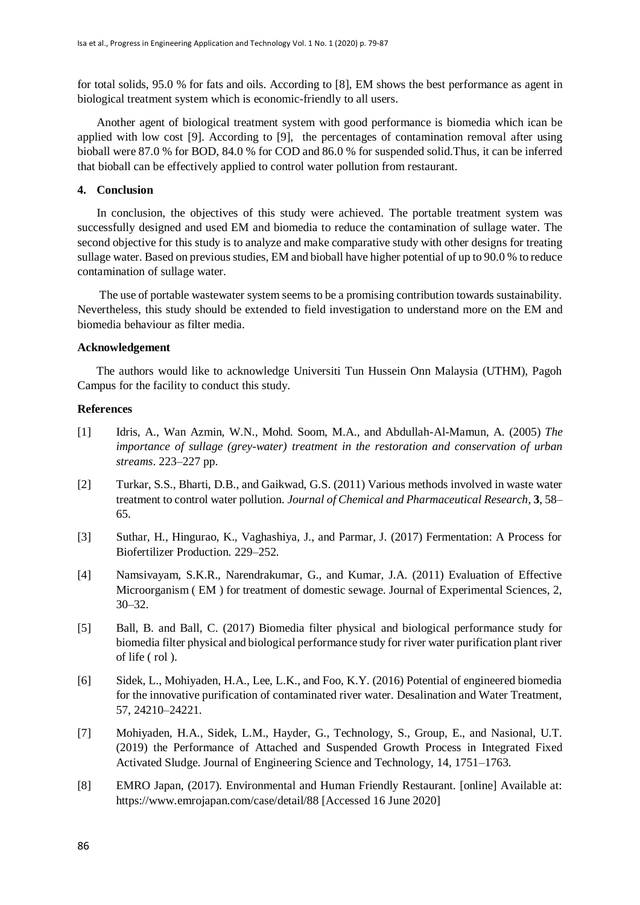for total solids, 95.0 % for fats and oils. According to [8], EM shows the best performance as agent in biological treatment system which is economic-friendly to all users.

Another agent of biological treatment system with good performance is biomedia which ican be applied with low cost [9]. According to [9], the percentages of contamination removal after using bioball were 87.0 % for BOD, 84.0 % for COD and 86.0 % for suspended solid.Thus, it can be inferred that bioball can be effectively applied to control water pollution from restaurant.

#### **4. Conclusion**

In conclusion, the objectives of this study were achieved. The portable treatment system was successfully designed and used EM and biomedia to reduce the contamination of sullage water. The second objective for this study is to analyze and make comparative study with other designs for treating sullage water. Based on previous studies, EM and bioball have higher potential of up to 90.0 % to reduce contamination of sullage water.

The use of portable wastewater system seems to be a promising contribution towards sustainability. Nevertheless, this study should be extended to field investigation to understand more on the EM and biomedia behaviour as filter media.

# **Acknowledgement**

The authors would like to acknowledge Universiti Tun Hussein Onn Malaysia (UTHM), Pagoh Campus for the facility to conduct this study.

#### **References**

- [1] Idris, A., Wan Azmin, W.N., Mohd. Soom, M.A., and Abdullah-Al-Mamun, A. (2005) *The importance of sullage (grey-water) treatment in the restoration and conservation of urban streams*. 223–227 pp.
- [2] Turkar, S.S., Bharti, D.B., and Gaikwad, G.S. (2011) Various methods involved in waste water treatment to control water pollution. *Journal of Chemical and Pharmaceutical Research*, **3**, 58– 65.
- [3] Suthar, H., Hingurao, K., Vaghashiya, J., and Parmar, J. (2017) Fermentation: A Process for Biofertilizer Production. 229–252.
- [4] Namsivayam, S.K.R., Narendrakumar, G., and Kumar, J.A. (2011) Evaluation of Effective Microorganism ( EM ) for treatment of domestic sewage. Journal of Experimental Sciences, 2, 30–32.
- [5] Ball, B. and Ball, C. (2017) Biomedia filter physical and biological performance study for biomedia filter physical and biological performance study for river water purification plant river of life ( rol ).
- [6] Sidek, L., Mohiyaden, H.A., Lee, L.K., and Foo, K.Y. (2016) Potential of engineered biomedia for the innovative purification of contaminated river water. Desalination and Water Treatment, 57, 24210–24221.
- [7] Mohiyaden, H.A., Sidek, L.M., Hayder, G., Technology, S., Group, E., and Nasional, U.T. (2019) the Performance of Attached and Suspended Growth Process in Integrated Fixed Activated Sludge. Journal of Engineering Science and Technology, 14, 1751–1763.
- [8] EMRO Japan, (2017). Environmental and Human Friendly Restaurant. [online] Available at: https://www.emrojapan.com/case/detail/88 [Accessed 16 June 2020]